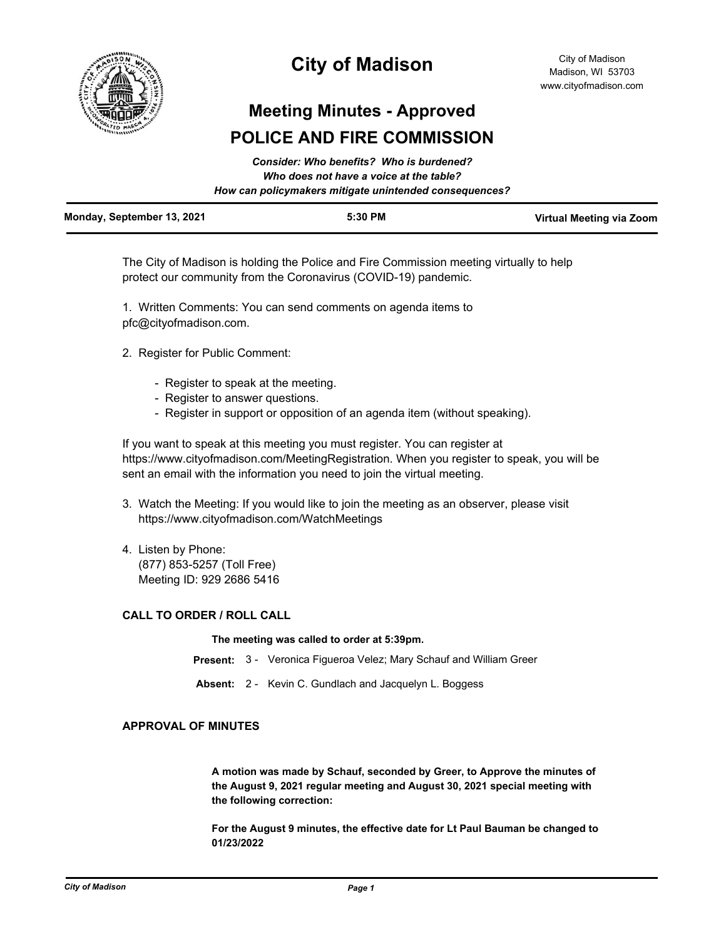

# **City of Madison**

# **Meeting Minutes - Approved POLICE AND FIRE COMMISSION**

|                            | Consider: Who benefits? Who is burdened?<br>Who does not have a voice at the table?<br>How can policymakers mitigate unintended consequences? |                          |
|----------------------------|-----------------------------------------------------------------------------------------------------------------------------------------------|--------------------------|
| Monday, September 13, 2021 | 5:30 PM                                                                                                                                       | Virtual Meeting via Zoom |

The City of Madison is holding the Police and Fire Commission meeting virtually to help protect our community from the Coronavirus (COVID-19) pandemic.

1. Written Comments: You can send comments on agenda items to pfc@cityofmadison.com.

- 2. Register for Public Comment:
	- Register to speak at the meeting.
	- Register to answer questions.
	- Register in support or opposition of an agenda item (without speaking).

If you want to speak at this meeting you must register. You can register at https://www.cityofmadison.com/MeetingRegistration. When you register to speak, you will be sent an email with the information you need to join the virtual meeting.

- 3. Watch the Meeting: If you would like to join the meeting as an observer, please visit https://www.cityofmadison.com/WatchMeetings
- 4. Listen by Phone: (877) 853-5257 (Toll Free) Meeting ID: 929 2686 5416

## **CALL TO ORDER / ROLL CALL**

**The meeting was called to order at 5:39pm.**

- **Present:** 3 Veronica Figueroa Velez; Mary Schauf and William Greer
- **Absent:** 2 Kevin C. Gundlach and Jacquelyn L. Boggess

## **APPROVAL OF MINUTES**

**A motion was made by Schauf, seconded by Greer, to Approve the minutes of the August 9, 2021 regular meeting and August 30, 2021 special meeting with the following correction:**

**For the August 9 minutes, the effective date for Lt Paul Bauman be changed to 01/23/2022**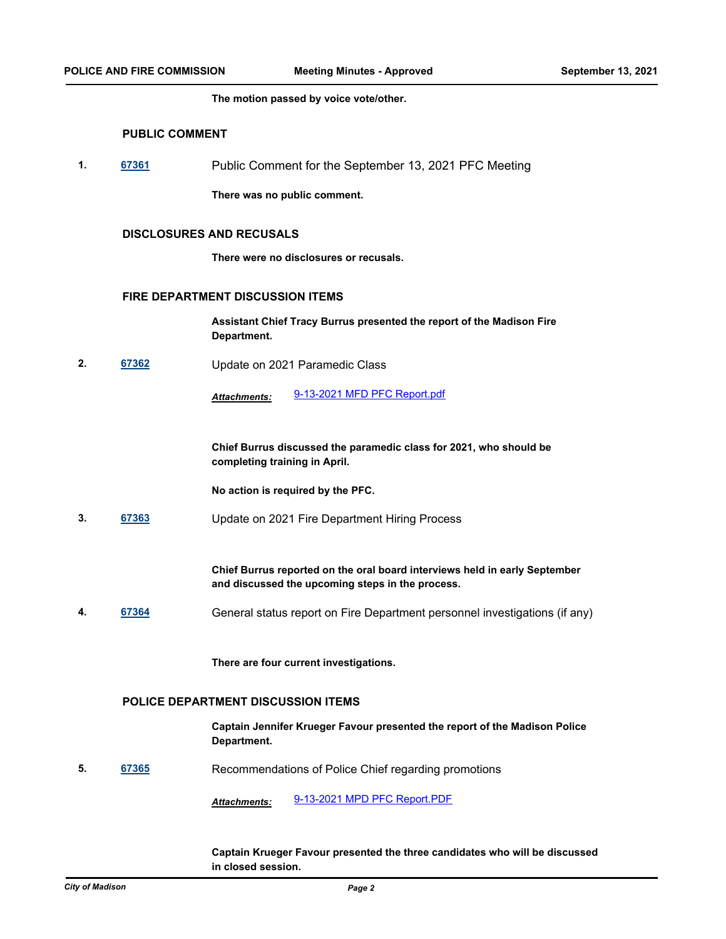**The motion passed by voice vote/other.**

# **PUBLIC COMMENT**

**1. [67361](http://madison.legistar.com/gateway.aspx?m=l&id=/matter.aspx?key=79286)** Public Comment for the September 13, 2021 PFC Meeting

**There was no public comment.**

# **DISCLOSURES AND RECUSALS**

**There were no disclosures or recusals.**

### **FIRE DEPARTMENT DISCUSSION ITEMS**

**Assistant Chief Tracy Burrus presented the report of the Madison Fire Department.**

**2. [67362](http://madison.legistar.com/gateway.aspx?m=l&id=/matter.aspx?key=79287)** Update on 2021 Paramedic Class

*Attachments:* [9-13-2021 MFD PFC Report.pdf](http://madison.legistar.com/gateway.aspx?M=F&ID=79d66cf5-43c0-42f1-a73d-80811578e1bc.pdf)

**Chief Burrus discussed the paramedic class for 2021, who should be completing training in April.** 

**No action is required by the PFC.**

**3. [67363](http://madison.legistar.com/gateway.aspx?m=l&id=/matter.aspx?key=79288)** Update on 2021 Fire Department Hiring Process

**Chief Burrus reported on the oral board interviews held in early September and discussed the upcoming steps in the process.**

**4. [67364](http://madison.legistar.com/gateway.aspx?m=l&id=/matter.aspx?key=79289)** General status report on Fire Department personnel investigations (if any)

**There are four current investigations.**

#### **POLICE DEPARTMENT DISCUSSION ITEMS**

**Captain Jennifer Krueger Favour presented the report of the Madison Police Department.**

**5. [67365](http://madison.legistar.com/gateway.aspx?m=l&id=/matter.aspx?key=79290)** Recommendations of Police Chief regarding promotions

*Attachments:* [9-13-2021 MPD PFC Report.PDF](http://madison.legistar.com/gateway.aspx?M=F&ID=e22f5f91-6fdc-4c4a-90d8-42a902f45da6.PDF)

#### **Captain Krueger Favour presented the three candidates who will be discussed in closed session.**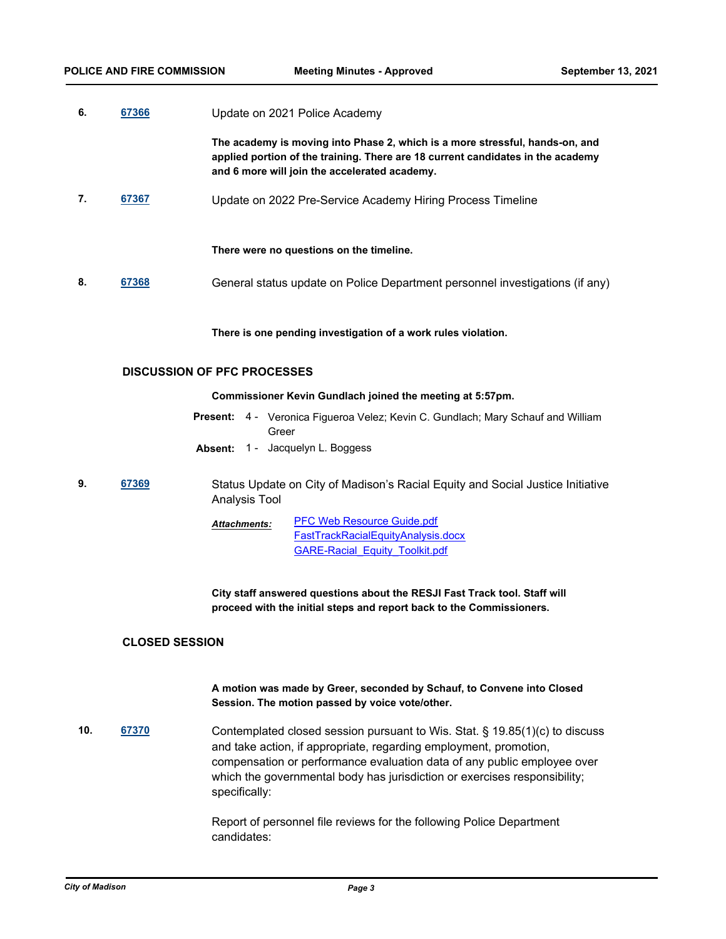| 6.                                 | 67366 | Update on 2021 Police Academy                                                                                                                                                                                    |  |
|------------------------------------|-------|------------------------------------------------------------------------------------------------------------------------------------------------------------------------------------------------------------------|--|
|                                    |       | The academy is moving into Phase 2, which is a more stressful, hands-on, and<br>applied portion of the training. There are 18 current candidates in the academy<br>and 6 more will join the accelerated academy. |  |
| 7.                                 | 67367 | Update on 2022 Pre-Service Academy Hiring Process Timeline                                                                                                                                                       |  |
|                                    |       | There were no questions on the timeline.                                                                                                                                                                         |  |
| 8.                                 | 67368 | General status update on Police Department personnel investigations (if any)                                                                                                                                     |  |
|                                    |       | There is one pending investigation of a work rules violation.                                                                                                                                                    |  |
| <b>DISCUSSION OF PFC PROCESSES</b> |       |                                                                                                                                                                                                                  |  |
|                                    |       | Commissioner Kevin Gundlach joined the meeting at 5:57pm.                                                                                                                                                        |  |
|                                    |       | <b>Present:</b> 4 - Veronica Figueroa Velez; Kevin C. Gundlach; Mary Schauf and William<br>Greer                                                                                                                 |  |
|                                    |       | Absent: 1 - Jacquelyn L. Boggess                                                                                                                                                                                 |  |
| 9.                                 | 67369 | Status Update on City of Madison's Racial Equity and Social Justice Initiative<br>Analysis Tool                                                                                                                  |  |
|                                    |       | <b>PFC Web Resource Guide.pdf</b><br>Attachments:<br>FastTrackRacialEquityAnalysis.docx<br><b>GARE-Racial Equity Toolkit.pdf</b>                                                                                 |  |

**City staff answered questions about the RESJI Fast Track tool. Staff will proceed with the initial steps and report back to the Commissioners.**

# **CLOSED SESSION**

**A motion was made by Greer, seconded by Schauf, to Convene into Closed Session. The motion passed by voice vote/other.**

**10. [67370](http://madison.legistar.com/gateway.aspx?m=l&id=/matter.aspx?key=79295)** Contemplated closed session pursuant to Wis. Stat. § 19.85(1)(c) to discuss and take action, if appropriate, regarding employment, promotion, compensation or performance evaluation data of any public employee over which the governmental body has jurisdiction or exercises responsibility; specifically:

> Report of personnel file reviews for the following Police Department candidates: